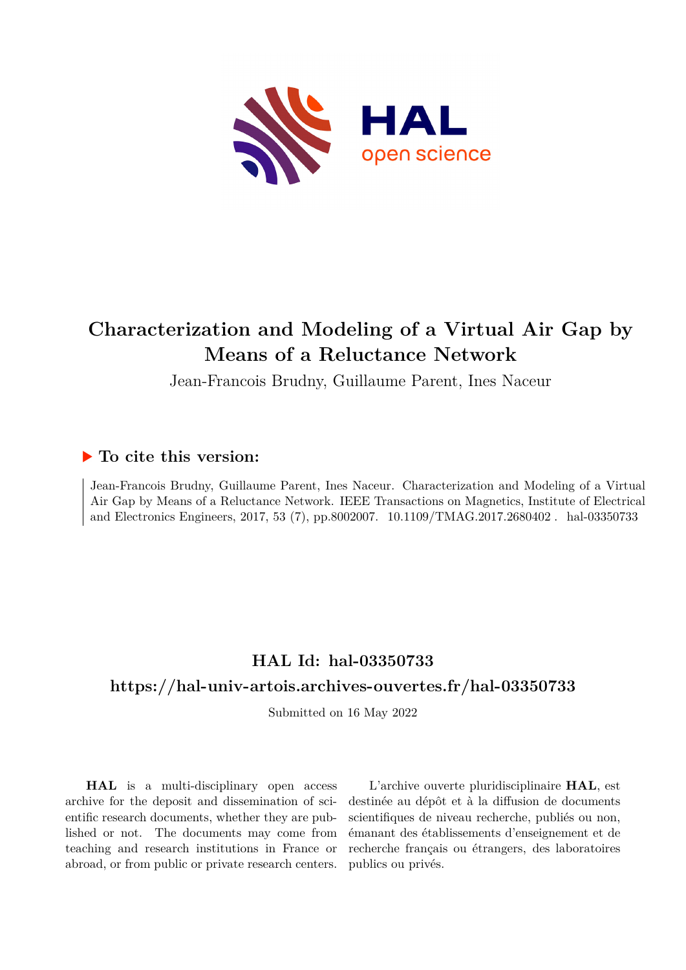

# **Characterization and Modeling of a Virtual Air Gap by Means of a Reluctance Network**

Jean-Francois Brudny, Guillaume Parent, Ines Naceur

### **To cite this version:**

Jean-Francois Brudny, Guillaume Parent, Ines Naceur. Characterization and Modeling of a Virtual Air Gap by Means of a Reluctance Network. IEEE Transactions on Magnetics, Institute of Electrical and Electronics Engineers, 2017, 53 (7), pp.8002007. 10.1109/TMAG.2017.2680402. hal-03350733

## **HAL Id: hal-03350733**

### **<https://hal-univ-artois.archives-ouvertes.fr/hal-03350733>**

Submitted on 16 May 2022

**HAL** is a multi-disciplinary open access archive for the deposit and dissemination of scientific research documents, whether they are published or not. The documents may come from teaching and research institutions in France or abroad, or from public or private research centers.

L'archive ouverte pluridisciplinaire **HAL**, est destinée au dépôt et à la diffusion de documents scientifiques de niveau recherche, publiés ou non, émanant des établissements d'enseignement et de recherche français ou étrangers, des laboratoires publics ou privés.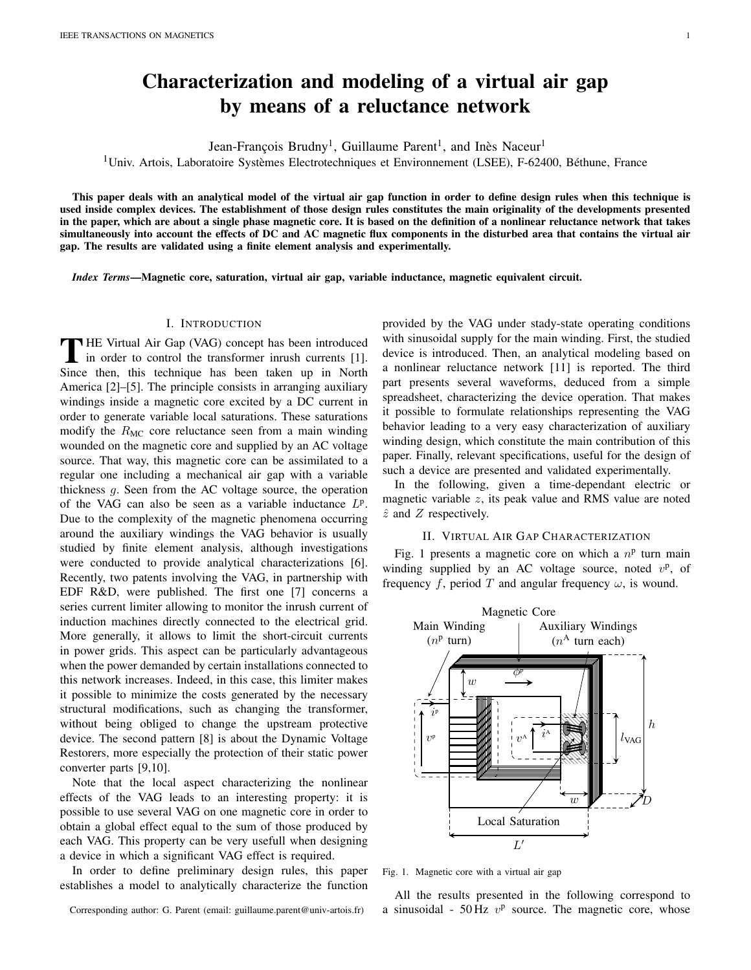## Characterization and modeling of a virtual air gap by means of a reluctance network

Jean-François Brudny<sup>1</sup>, Guillaume Parent<sup>1</sup>, and Inès Naceur<sup>1</sup>

 $1$ Univ. Artois, Laboratoire Systèmes Electrotechniques et Environnement (LSEE), F-62400, Béthune, France

This paper deals with an analytical model of the virtual air gap function in order to define design rules when this technique is used inside complex devices. The establishment of those design rules constitutes the main originality of the developments presented in the paper, which are about a single phase magnetic core. It is based on the definition of a nonlinear reluctance network that takes simultaneously into account the effects of DC and AC magnetic flux components in the disturbed area that contains the virtual air gap. The results are validated using a finite element analysis and experimentally.

*Index Terms*—Magnetic core, saturation, virtual air gap, variable inductance, magnetic equivalent circuit.

#### I. INTRODUCTION

THE Virtual Air Gap (VAG) concept has been introduced<br>in order to control the transformer inrush currents [1].<br>Since then, this technique has been taken up in North HE Virtual Air Gap (VAG) concept has been introduced in order to control the transformer inrush currents [1]. America [2]–[5]. The principle consists in arranging auxiliary windings inside a magnetic core excited by a DC current in order to generate variable local saturations. These saturations modify the  $R_{MC}$  core reluctance seen from a main winding wounded on the magnetic core and supplied by an AC voltage source. That way, this magnetic core can be assimilated to a regular one including a mechanical air gap with a variable thickness g. Seen from the AC voltage source, the operation of the VAG can also be seen as a variable inductance  $L^p$ . Due to the complexity of the magnetic phenomena occurring around the auxiliary windings the VAG behavior is usually studied by finite element analysis, although investigations were conducted to provide analytical characterizations [6]. Recently, two patents involving the VAG, in partnership with EDF R&D, were published. The first one [7] concerns a series current limiter allowing to monitor the inrush current of induction machines directly connected to the electrical grid. More generally, it allows to limit the short-circuit currents in power grids. This aspect can be particularly advantageous when the power demanded by certain installations connected to this network increases. Indeed, in this case, this limiter makes it possible to minimize the costs generated by the necessary structural modifications, such as changing the transformer, without being obliged to change the upstream protective device. The second pattern [8] is about the Dynamic Voltage Restorers, more especially the protection of their static power converter parts [9,10].

Note that the local aspect characterizing the nonlinear effects of the VAG leads to an interesting property: it is possible to use several VAG on one magnetic core in order to obtain a global effect equal to the sum of those produced by each VAG. This property can be very usefull when designing a device in which a significant VAG effect is required.

In order to define preliminary design rules, this paper establishes a model to analytically characterize the function

provided by the VAG under stady-state operating conditions with sinusoidal supply for the main winding. First, the studied device is introduced. Then, an analytical modeling based on a nonlinear reluctance network [11] is reported. The third part presents several waveforms, deduced from a simple spreadsheet, characterizing the device operation. That makes it possible to formulate relationships representing the VAG behavior leading to a very easy characterization of auxiliary winding design, which constitute the main contribution of this paper. Finally, relevant specifications, useful for the design of such a device are presented and validated experimentally.

In the following, given a time-dependant electric or magnetic variable  $z$ , its peak value and RMS value are noted  $\hat{z}$  and  $Z$  respectively.

#### II. VIRTUAL AIR GAP CHARACTERIZATION

Fig. 1 presents a magnetic core on which a  $n<sup>p</sup>$  turn main winding supplied by an AC voltage source, noted  $v^p$ , of frequency f, period T and angular frequency  $\omega$ , is wound.



Fig. 1. Magnetic core with a virtual air gap

All the results presented in the following correspond to a sinusoidal -  $50 \text{ Hz } v^{\text{p}}$  source. The magnetic core, whose

Corresponding author: G. Parent (email: guillaume.parent@univ-artois.fr)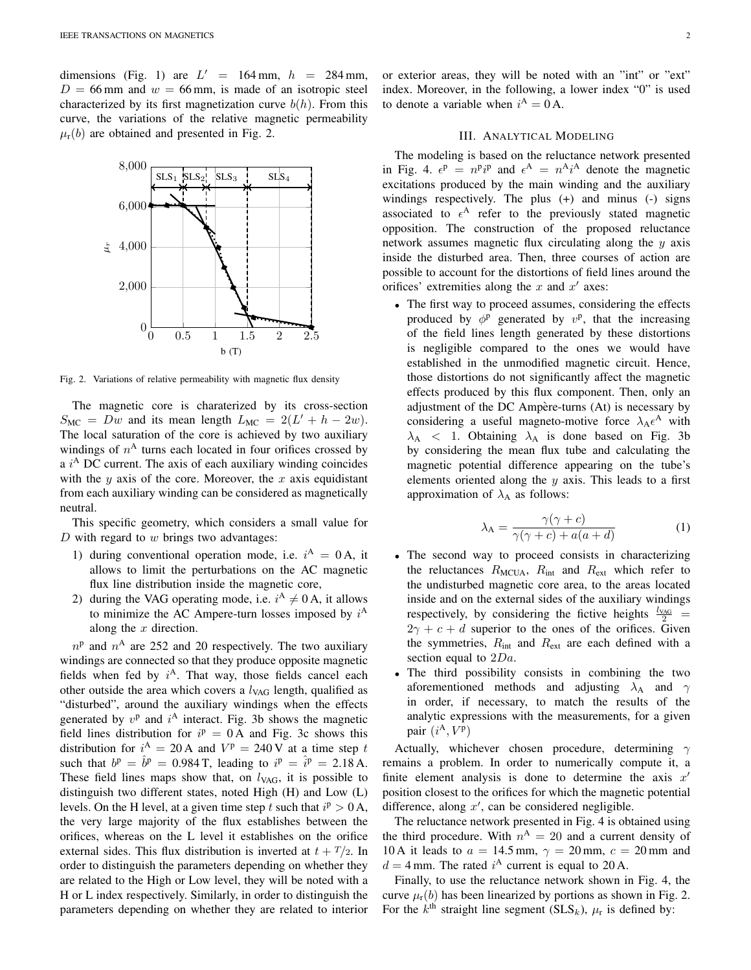dimensions (Fig. 1) are  $L' = 164$  mm,  $h = 284$  mm,  $D = 66$  mm and  $w = 66$  mm, is made of an isotropic steel characterized by its first magnetization curve  $b(h)$ . From this curve, the variations of the relative magnetic permeability  $\mu_r(b)$  are obtained and presented in Fig. 2.



Fig. 2. Variations of relative permeability with magnetic flux density

The magnetic core is charaterized by its cross-section  $S_{MC} = Dw$  and its mean length  $L_{MC} = 2(L' + h - 2w)$ . The local saturation of the core is achieved by two auxiliary windings of  $n<sup>A</sup>$  turns each located in four orifices crossed by a  $i<sup>A</sup>$  DC current. The axis of each auxiliary winding coincides with the  $y$  axis of the core. Moreover, the  $x$  axis equidistant from each auxiliary winding can be considered as magnetically neutral.

This specific geometry, which considers a small value for  $D$  with regard to  $w$  brings two advantages:

- 1) during conventional operation mode, i.e.  $i^A = 0A$ , it allows to limit the perturbations on the AC magnetic flux line distribution inside the magnetic core,
- 2) during the VAG operating mode, i.e.  $i^A \neq 0$  A, it allows to minimize the AC Ampere-turn losses imposed by  $i^A$ along the  $x$  direction.

 $n<sup>p</sup>$  and  $n<sup>A</sup>$  are 252 and 20 respectively. The two auxiliary windings are connected so that they produce opposite magnetic fields when fed by  $i^A$ . That way, those fields cancel each other outside the area which covers a  $l_{\text{VAG}}$  length, qualified as "disturbed", around the auxiliary windings when the effects generated by  $v^{\text{p}}$  and  $i^{\text{A}}$  interact. Fig. 3b shows the magnetic field lines distribution for  $i^p = 0$  A and Fig. 3c shows this distribution for  $i^A = 20A$  and  $V^p = 240V$  at a time step t such that  $b^{\text{p}} = \hat{b}^{\text{p}} = 0.984 \text{ T}$ , leading to  $i^{\text{p}} = \hat{i}^{\text{p}} = 2.18 \text{ A}$ . These field lines maps show that, on  $l_{VAG}$ , it is possible to distinguish two different states, noted High (H) and Low (L) levels. On the H level, at a given time step t such that  $i^p > 0$  A, the very large majority of the flux establishes between the orifices, whereas on the L level it establishes on the orifice external sides. This flux distribution is inverted at  $t + T/2$ . In order to distinguish the parameters depending on whether they are related to the High or Low level, they will be noted with a H or L index respectively. Similarly, in order to distinguish the parameters depending on whether they are related to interior

#### III. ANALYTICAL MODELING

to denote a variable when  $i^A = 0$  A.

The modeling is based on the reluctance network presented in Fig. 4.  $\epsilon^{\text{p}} = n^{\text{p}}i^{\text{p}}$  and  $\epsilon^{\text{A}} = n^{\text{A}}i^{\text{A}}$  denote the magnetic excitations produced by the main winding and the auxiliary windings respectively. The plus (+) and minus (-) signs associated to  $\epsilon^A$  refer to the previously stated magnetic opposition. The construction of the proposed reluctance network assumes magnetic flux circulating along the  $y$  axis inside the disturbed area. Then, three courses of action are possible to account for the distortions of field lines around the orifices' extremities along the  $x$  and  $x'$  axes:

• The first way to proceed assumes, considering the effects produced by  $\phi^{\text{p}}$  generated by  $v^{\text{p}}$ , that the increasing of the field lines length generated by these distortions is negligible compared to the ones we would have established in the unmodified magnetic circuit. Hence, those distortions do not significantly affect the magnetic effects produced by this flux component. Then, only an adjustment of the DC Ampère-turns (At) is necessary by considering a useful magneto-motive force  $\lambda_A \epsilon^A$  with  $\lambda_A$  < 1. Obtaining  $\lambda_A$  is done based on Fig. 3b by considering the mean flux tube and calculating the magnetic potential difference appearing on the tube's elements oriented along the  $y$  axis. This leads to a first approximation of  $\lambda_A$  as follows:

$$
\lambda_{\mathbf{A}} = \frac{\gamma(\gamma + c)}{\gamma(\gamma + c) + a(a + d)}\tag{1}
$$

- The second way to proceed consists in characterizing the reluctances  $R_{\text{MCUA}}$ ,  $R_{\text{int}}$  and  $R_{\text{ext}}$  which refer to the undisturbed magnetic core area, to the areas located inside and on the external sides of the auxiliary windings respectively, by considering the fictive heights  $\frac{l_{VAG}}{2}$  =  $2\gamma + c + d$  superior to the ones of the orifices. Given the symmetries,  $R_{int}$  and  $R_{ext}$  are each defined with a section equal to 2Da.
- The third possibility consists in combining the two aforementioned methods and adjusting  $\lambda_A$  and  $\gamma$ in order, if necessary, to match the results of the analytic expressions with the measurements, for a given pair  $(i^{\text{A}}, V^{\text{p}})$

Actually, whichever chosen procedure, determining  $\gamma$ remains a problem. In order to numerically compute it, a finite element analysis is done to determine the axis  $x'$ position closest to the orifices for which the magnetic potential difference, along  $x'$ , can be considered negligible.

The reluctance network presented in Fig. 4 is obtained using the third procedure. With  $n^A = 20$  and a current density of 10 A it leads to  $a = 14.5$  mm,  $\gamma = 20$  mm,  $c = 20$  mm and  $d = 4$  mm. The rated  $i^A$  current is equal to 20 A.

Finally, to use the reluctance network shown in Fig. 4, the curve  $\mu_r(b)$  has been linearized by portions as shown in Fig. 2. For the  $k^{\text{th}}$  straight line segment (SLS<sub>k</sub>),  $\mu_{\text{r}}$  is defined by: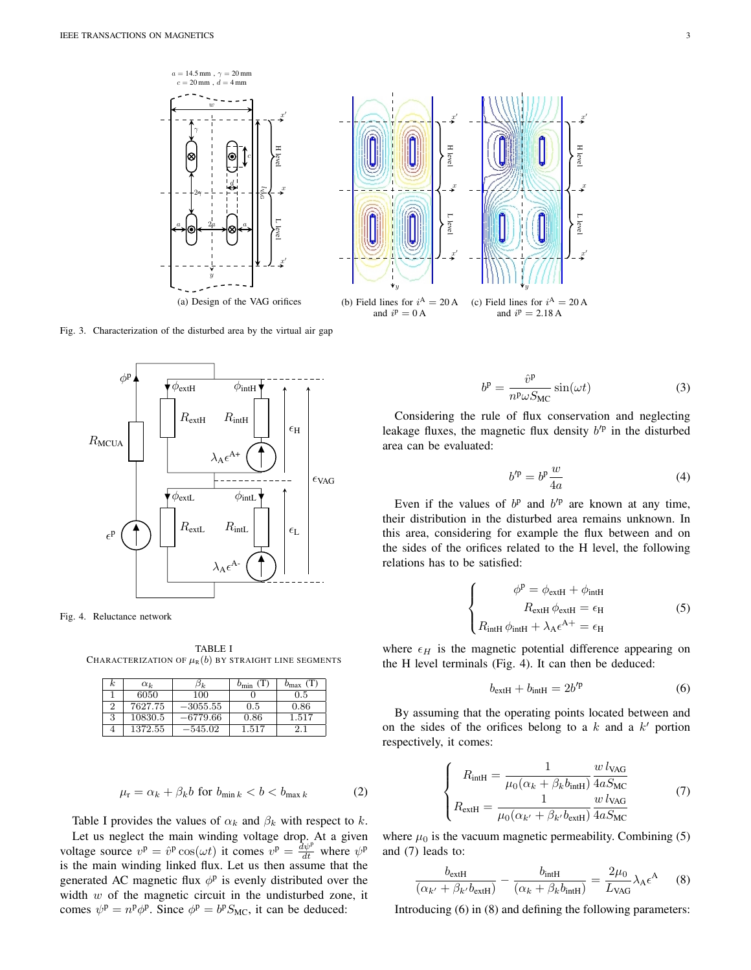

Fig. 3. Characterization of the disturbed area by the virtual air gap



Fig. 4. Reluctance network

TABLE I CHARACTERIZATION OF  $\mu_R(b)$  by straight line segments

| k. | $\alpha_k$ | Эk.        | $b_{\min}$ | $b_{\rm max}$ |
|----|------------|------------|------------|---------------|
|    | 6050       | 100        |            | 0.5           |
|    | 7627.75    | $-3055.55$ | 0.5        | 0.86          |
| IJ | 10830.5    | –6779.66   | 0.86       | 1.517         |
|    | 1372.55    | $-545.02$  | 1.517      | 2.1           |

$$
\mu_{\rm r} = \alpha_k + \beta_k b \text{ for } b_{\min k} < b < b_{\max k} \tag{2}
$$

Table I provides the values of  $\alpha_k$  and  $\beta_k$  with respect to k. Let us neglect the main winding voltage drop. At a given voltage source  $v^p = \hat{v}^p \cos(\omega t)$  it comes  $v^p = \frac{d v^p}{dt}$  where  $\psi^p$ is the main winding linked flux. Let us then assume that the generated AC magnetic flux  $\phi$ <sup>p</sup> is evenly distributed over the width  $w$  of the magnetic circuit in the undisturbed zone, it comes  $\psi^{\text{p}} = n^{\text{p}} \phi^{\text{p}}$ . Since  $\phi^{\text{p}} = b^{\text{p}} S_{\text{MC}}$ , it can be deduced:

$$
b^{\rm p} = \frac{\hat{v}^{\rm p}}{n^{\rm p} \omega S_{\rm MC}} \sin(\omega t) \tag{3}
$$

Considering the rule of flux conservation and neglecting leakage fluxes, the magnetic flux density  $b^{p}$  in the disturbed area can be evaluated:

$$
b^{\prime p} = b^p \frac{w}{4a} \tag{4}
$$

Even if the values of  $b^p$  and  $b'^p$  are known at any time, their distribution in the disturbed area remains unknown. In this area, considering for example the flux between and on the sides of the orifices related to the H level, the following relations has to be satisfied:

$$
\begin{cases}\n\phi^{\text{p}} = \phi_{\text{extH}} + \phi_{\text{intH}} \\
R_{\text{extH}} \phi_{\text{extH}} = \epsilon_{\text{H}} \\
R_{\text{intH}} \phi_{\text{intH}} + \lambda_{\text{A}} \epsilon^{\text{A}+} = \epsilon_{\text{H}}\n\end{cases}
$$
\n(5)

where  $\epsilon_H$  is the magnetic potential difference appearing on the H level terminals (Fig. 4). It can then be deduced:

$$
b_{\text{extH}} + b_{\text{intH}} = 2b'^p \tag{6}
$$

By assuming that the operating points located between and on the sides of the orifices belong to a  $k$  and a  $k'$  portion respectively, it comes:

$$
\begin{cases}\nR_{\text{intH}} = \frac{1}{\mu_0(\alpha_k + \beta_k b_{\text{intH}})} \frac{w l_{\text{VAG}}}{4a S_{\text{MC}}} \\
R_{\text{extH}} = \frac{1}{\mu_0(\alpha_{k'} + \beta_{k'} b_{\text{extH}})} \frac{w l_{\text{VAG}}}{4a S_{\text{MC}}} \n\end{cases} \tag{7}
$$

where  $\mu_0$  is the vacuum magnetic permeability. Combining (5) and (7) leads to:

$$
\frac{b_{\text{extH}}}{(\alpha_{k'} + \beta_{k'} b_{\text{extH}})} - \frac{b_{\text{intH}}}{(\alpha_k + \beta_k b_{\text{intH}})} = \frac{2\mu_0}{L_{\text{VAG}}} \lambda_{\text{A}} \epsilon^{\text{A}} \tag{8}
$$

Introducing (6) in (8) and defining the following parameters: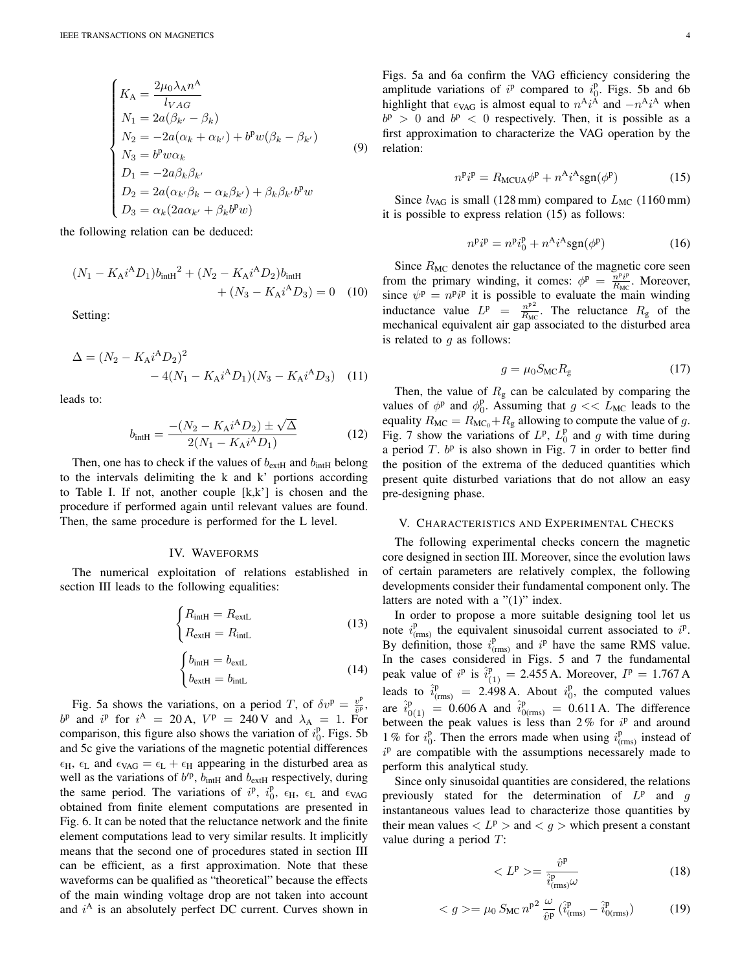$$
\begin{cases}\nK_A = \frac{2\mu_0 \lambda_A n^A}{l_{VAG}} \\
N_1 = 2a(\beta_{k'} - \beta_k) \\
N_2 = -2a(\alpha_k + \alpha_{k'}) + b^p w(\beta_k - \beta_{k'}) \\
N_3 = b^p w \alpha_k \\
D_1 = -2a\beta_k \beta_{k'} \\
D_2 = 2a(\alpha_{k'}\beta_k - \alpha_k\beta_{k'}) + \beta_k \beta_{k'} b^p w \\
D_3 = \alpha_k (2a\alpha_{k'} + \beta_k b^p w)\n\end{cases} \tag{9}
$$

the following relation can be deduced:

$$
(N_1 - K_A i^A D_1) b_{\text{intH}}^2 + (N_2 - K_A i^A D_2) b_{\text{intH}} + (N_3 - K_A i^A D_3) = 0 \quad (10)
$$

Setting:

$$
\Delta = (N_2 - K_A i^A D_2)^2
$$
  
- 4(N<sub>1</sub> - K<sub>A</sub>i<sup>A</sup>D<sub>1</sub>)(N<sub>3</sub> - K<sub>A</sub>i<sup>A</sup>D<sub>3</sub>) (11)

leads to:

$$
b_{\text{intH}} = \frac{-(N_2 - K_A i^A D_2) \pm \sqrt{\Delta}}{2(N_1 - K_A i^A D_1)}
$$
(12)

Then, one has to check if the values of  $b_{\text{extH}}$  and  $b_{\text{intH}}$  belong to the intervals delimiting the k and k' portions according to Table I. If not, another couple  $[k, k']$  is chosen and the procedure if performed again until relevant values are found. Then, the same procedure is performed for the L level.

#### IV. WAVEFORMS

The numerical exploitation of relations established in section III leads to the following equalities:

$$
\begin{cases}\nR_{\text{intH}} = R_{\text{extL}} \\
R_{\text{extH}} = R_{\text{intL}}\n\end{cases}
$$
\n(13)

$$
\begin{cases}\n b_{\text{intH}} = b_{\text{extL}} \\
 b_{\text{extH}} = b_{\text{intL}}\n\end{cases}
$$
\n(14)

Fig. 5a shows the variations, on a period T, of  $\delta v^{\rm p} = \frac{v^{\rm p}}{\delta p}$  $\frac{v^{\scriptscriptstyle \mathrm{P}}}{\hat{v}^{\scriptscriptstyle \mathrm{P}}}$ ,  $b^p$  and  $i^p$  for  $i^A = 20$  A,  $V^p = 240$  V and  $\lambda_A = 1$ . For comparison, this figure also shows the variation of  $i_0^p$ . Figs. 5b and 5c give the variations of the magnetic potential differences  $\epsilon_H$ ,  $\epsilon_L$  and  $\epsilon_{VAG} = \epsilon_L + \epsilon_H$  appearing in the disturbed area as well as the variations of  $b^{p}$ ,  $b_{\text{intH}}$  and  $b_{\text{extH}}$  respectively, during the same period. The variations of  $i^p$ ,  $i_0^p$ ,  $\epsilon_H$ ,  $\epsilon_L$  and  $\epsilon_{VAG}$ obtained from finite element computations are presented in Fig. 6. It can be noted that the reluctance network and the finite element computations lead to very similar results. It implicitly means that the second one of procedures stated in section III can be efficient, as a first approximation. Note that these waveforms can be qualified as "theoretical" because the effects of the main winding voltage drop are not taken into account and  $i^A$  is an absolutely perfect DC current. Curves shown in

Figs. 5a and 6a confirm the VAG efficiency considering the amplitude variations of  $i^p$  compared to  $i^p_0$ . Figs. 5b and 6b highlight that  $\epsilon_{\text{VAG}}$  is almost equal to  $n^A i^{\overline{A}}$  and  $-n^A i^{\overline{A}}$  when  $b^p > 0$  and  $b^p < 0$  respectively. Then, it is possible as a first approximation to characterize the VAG operation by the relation:

$$
n^{\mathbf{p}}i^{\mathbf{p}} = R_{\text{MCUA}}\phi^{\mathbf{p}} + n^{\mathbf{A}}i^{\mathbf{A}}\text{sgn}(\phi^{\mathbf{p}})
$$
 (15)

Since  $l_{\text{VAG}}$  is small (128 mm) compared to  $L_{\text{MC}}$  (1160 mm) it is possible to express relation (15) as follows:

$$
n^{\mathbf{p}}i^{\mathbf{p}} = n^{\mathbf{p}}i_0^{\mathbf{p}} + n^{\mathbf{A}}i^{\mathbf{A}}\text{sgn}(\phi^{\mathbf{p}})
$$
 (16)

Since  $R_{MC}$  denotes the reluctance of the magnetic core seen from the primary winding, it comes:  $\phi^p = \frac{n^p i^p}{B}$  $\frac{n^{\nu}i^{\nu}}{R_{\text{MC}}}$ . Moreover, since  $\psi^{\text{p}} = n^{\text{p}}i^{\text{p}}$  it is possible to evaluate the main winding inductance value  $L^p = \frac{n^{p^2}}{B_M}$  $\frac{n^{p} }{R_{MC}}$ . The reluctance  $R_{g}$  of the mechanical equivalent air gap associated to the disturbed area is related to  $q$  as follows:

$$
g = \mu_0 S_{\rm MC} R_{\rm g} \tag{17}
$$

Then, the value of  $R_g$  can be calculated by comparing the values of  $\phi^p$  and  $\phi_0^p$ . Assuming that  $g \ll L_{MC}$  leads to the equality  $R_{MC} = R_{MC_0} + R_g$  allowing to compute the value of g. Fig. 7 show the variations of  $L^p$ ,  $L_0^p$  and g with time during a period  $T$ .  $b^p$  is also shown in Fig. 7 in order to better find the position of the extrema of the deduced quantities which present quite disturbed variations that do not allow an easy pre-designing phase.

#### V. CHARACTERISTICS AND EXPERIMENTAL CHECKS

The following experimental checks concern the magnetic core designed in section III. Moreover, since the evolution laws of certain parameters are relatively complex, the following developments consider their fundamental component only. The latters are noted with a "(1)" index.

In order to propose a more suitable designing tool let us note  $i_{\text{(rms)}}^{\text{p}}$  the equivalent sinusoidal current associated to  $i^{\text{p}}$ . By definition, those  $i_{\text{(rms)}}^{\text{p}}$  and  $i^{\text{p}}$  have the same RMS value. In the cases considered in Figs. 5 and 7 the fundamental peak value of  $i^p$  is  $\hat{i}_{(1)}^p = 2.455$  A. Moreover,  $I^p = 1.767$  A leads to  $\hat{i}_{\text{(rms)}}^{\text{p}} = 2.498 \text{ A}$ . About  $i_0^{\text{p}}$ , the computed values are  $\hat{i}_{0(1)}^{\text{p}} = 0.606 \text{ A}$  and  $\hat{i}_{0(\text{rms})}^{\text{p}} = 0.611 \text{ A}$ . The difference between the peak values is less than  $2\%$  for  $i^p$  and around 1% for  $i_0^p$ . Then the errors made when using  $i_{(rms)}^p$  instead of  $i<sup>p</sup>$  are compatible with the assumptions necessarely made to perform this analytical study.

Since only sinusoidal quantities are considered, the relations previously stated for the determination of  $L^p$  and g instantaneous values lead to characterize those quantities by their mean values  $\langle L^p \rangle$  and  $\langle g \rangle$  which present a constant value during a period  $T$ :

$$
\langle L^{\mathbf{p}} \rangle = \frac{\hat{v}^{\mathbf{p}}}{\hat{i}^{\mathbf{p}}_{(\text{rms})}\omega} \tag{18}
$$

$$
\langle g \rangle = \mu_0 S_{MC} n^{p^2} \frac{\omega}{\hat{v}^p} (\hat{i}_{(rms)}^p - \hat{i}_{0 (rms)}^p)
$$
 (19)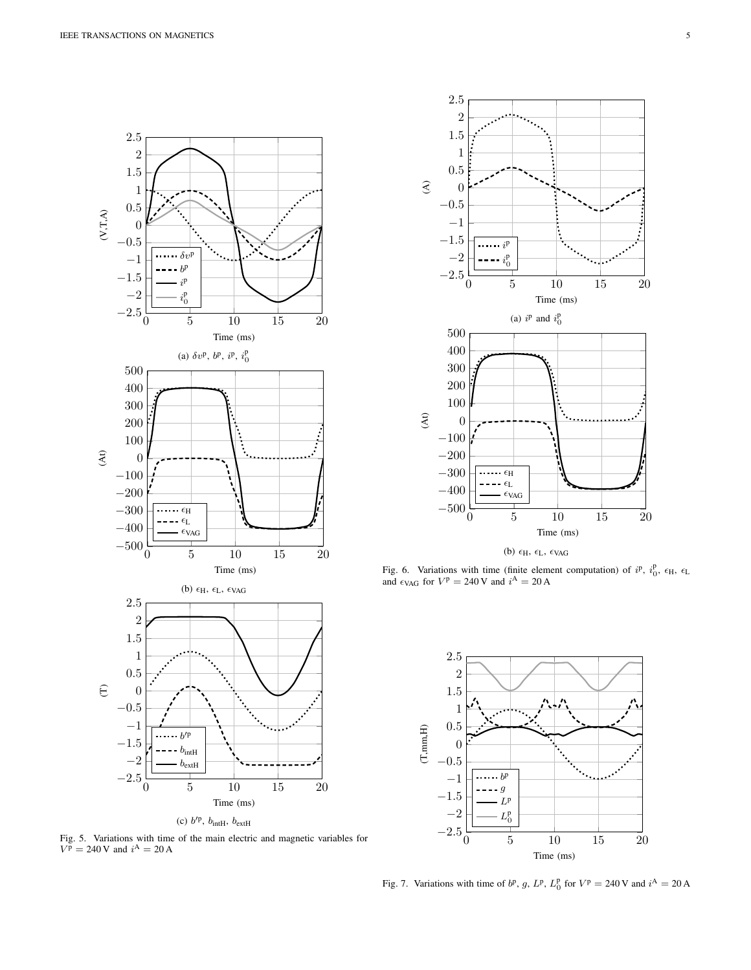





Fig. 6. Variations with time (finite element computation) of  $i^p$ ,  $i_0^p$ ,  $\epsilon_H$ ,  $\epsilon_L$ and  $\epsilon_{\text{VAG}}$  for  $V^{\text{p}} = 240 \text{ V}$  and  $i^{\text{A}} = 20 \text{ A}$ 



Fig. 7. Variations with time of  $b^p$ , g,  $L^p$ ,  $L_0^p$  for  $V^p = 240$  V and  $i^A = 20$  A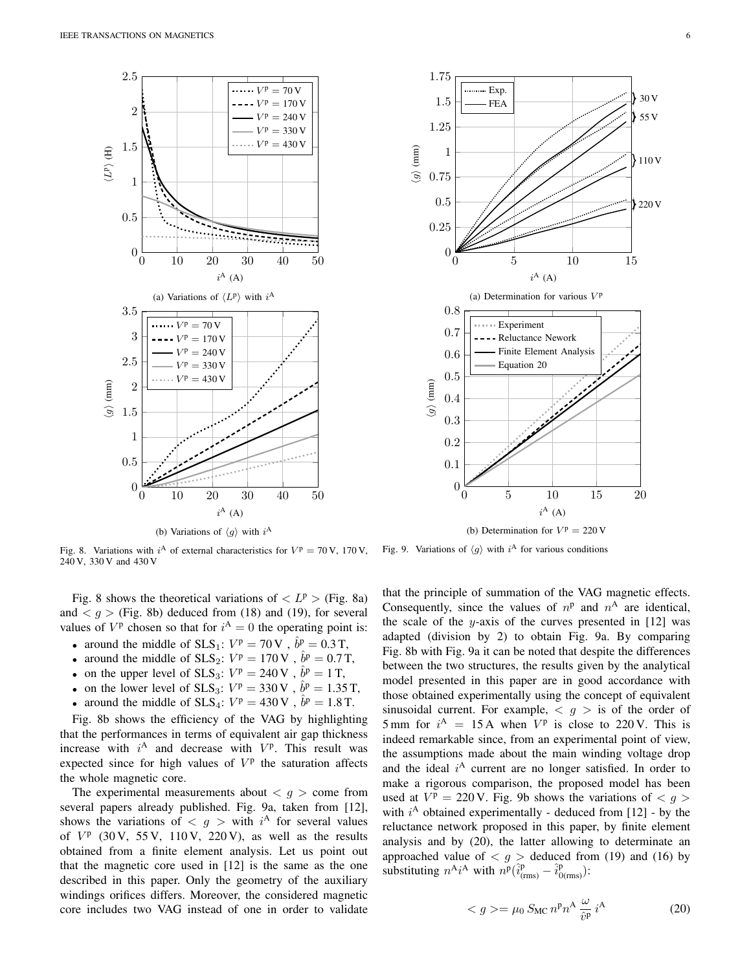



Fig. 8. Variations with  $i^A$  of external characteristics for  $V^p = 70$  V, 170 V, 240 V, 330 V and 430 V

Fig. 8 shows the theoretical variations of  $\langle L^p \rangle$  (Fig. 8a) and  $\langle g \rangle$  (Fig. 8b) deduced from (18) and (19), for several values of  $V^p$  chosen so that for  $i^A = 0$  the operating point is:

- around the middle of SLS<sub>1</sub>:  $V^p = 70 \text{ V}$ ,  $\hat{b}^p = 0.3 \text{ T}$ ,
- around the middle of  $SLS_2$ :  $V^p = 170 \text{ V}$ ,  $\hat{b}^p = 0.7 \text{ T}$ ,
- on the upper level of SLS<sub>3</sub>:  $V^p = 240 \text{ V}$ ,  $\hat{b}^p = 1 \text{ T}$ ,
- on the lower level of  $SLS_3$ :  $V^p = 330 \text{ V}$ ,  $\hat{b}^p = 1.35 \text{ T}$ ,
- around the middle of SLS<sub>4</sub>:  $V^{\text{p}} = 430 \text{ V}$ ,  $\hat{b}^{\text{p}} = 1.8 \text{ T}$ .

Fig. 8b shows the efficiency of the VAG by highlighting that the performances in terms of equivalent air gap thickness increase with  $i^A$  and decrease with  $V^p$ . This result was expected since for high values of  $V<sup>p</sup>$  the saturation affects the whole magnetic core.

The experimental measurements about  $\langle g \rangle$  come from several papers already published. Fig. 9a, taken from [12], shows the variations of  $\langle g \rangle$  with  $i^{\text{A}}$  for several values of  $V^p$  (30 V, 55 V, 110 V, 220 V), as well as the results obtained from a finite element analysis. Let us point out that the magnetic core used in [12] is the same as the one described in this paper. Only the geometry of the auxiliary windings orifices differs. Moreover, the considered magnetic core includes two VAG instead of one in order to validate



Fig. 9. Variations of  $\langle g \rangle$  with  $i^{\text{A}}$  for various conditions

that the principle of summation of the VAG magnetic effects. Consequently, since the values of  $n<sup>p</sup>$  and  $n<sup>A</sup>$  are identical, the scale of the y-axis of the curves presented in  $[12]$  was adapted (division by 2) to obtain Fig. 9a. By comparing Fig. 8b with Fig. 9a it can be noted that despite the differences between the two structures, the results given by the analytical model presented in this paper are in good accordance with those obtained experimentally using the concept of equivalent sinusoidal current. For example,  $\langle g \rangle$  is of the order of 5 mm for  $i^A = 15A$  when  $V^p$  is close to 220 V. This is indeed remarkable since, from an experimental point of view, the assumptions made about the main winding voltage drop and the ideal  $i^A$  current are no longer satisfied. In order to make a rigorous comparison, the proposed model has been used at  $V^p = 220 \text{ V}$ . Fig. 9b shows the variations of  $\langle g \rangle$ with  $i^A$  obtained experimentally - deduced from [12] - by the reluctance network proposed in this paper, by finite element analysis and by (20), the latter allowing to determinate an approached value of  $\langle g \rangle$  deduced from (19) and (16) by substituting  $n^{\mathbf{A}}i^{\mathbf{A}}$  with  $n^{\mathbf{p}}(\hat{i}_{(\text{rms})}^{\mathbf{p}} - \hat{i}_{0(\text{rms})}^{\mathbf{p}})$ :

$$
\langle g \rangle = \mu_0 \, S_{\text{MC}} \, n^{\text{p}} n^{\text{A}} \, \frac{\omega}{\hat{v}^{\text{p}}} \, i^{\text{A}} \tag{20}
$$